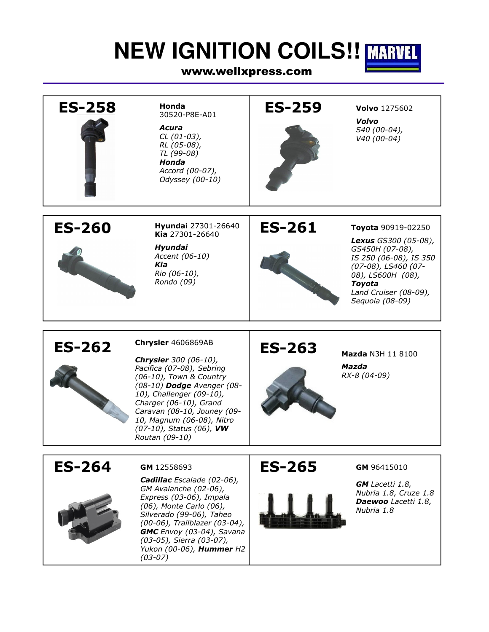# **NEW IGNITION COILS!! MARVEL**

### www.wellxpress.com

| <b>ES-258</b> | Honda<br>30520-P8E-A01<br>Acura<br>$CL (01-03),$<br>RL (05-08),<br>TL (99-08)<br>Honda<br>Accord (00-07),<br>Odyssey (00-10)                                                                                                                                                                             | <b>ES-259</b> | <b>Volvo</b> 1275602<br>Volvo<br>S40 (00-04),<br>V40 (00-04)                                                                                                                                     |
|---------------|----------------------------------------------------------------------------------------------------------------------------------------------------------------------------------------------------------------------------------------------------------------------------------------------------------|---------------|--------------------------------------------------------------------------------------------------------------------------------------------------------------------------------------------------|
| <b>ES-260</b> | Hyundai 27301-26640<br>Kia 27301-26640<br>Hyundai<br>Accent (06-10)<br>Kia<br>Rio (06-10),<br>Rondo (09)                                                                                                                                                                                                 | <b>ES-261</b> | Toyota 90919-02250<br><b>Lexus</b> GS300 (05-08),<br>GS450H (07-08),<br>IS 250 (06-08), IS 350<br>(07-08), LS460 (07-<br>08), LS600H (08),<br>Toyota<br>Land Cruiser (08-09),<br>Sequoia (08-09) |
| <b>ES-262</b> | Chrysler 4606869AB<br><b>Chrysler</b> 300 (06-10),<br>Pacifica (07-08), Sebring<br>(06-10), Town & Country<br>(08-10) Dodge Avenger (08-<br>10), Challenger (09-10),<br>Charger (06-10), Grand<br>Caravan (08-10, Jouney (09-<br>10, Magnum (06-08), Nitro<br>(07-10), Status (06), VW<br>Routan (09-10) | <b>ES-263</b> | Mazda N3H 11 8100<br>Mazda<br>RX-8 (04-09)                                                                                                                                                       |
| <b>ES-264</b> | GM 12558693<br><b>Cadillac</b> Escalade (02-06),<br>GM Avalanche (02-06),<br>Express (03-06), Impala<br>(06), Monte Carlo (06),<br>Silverado (99-06), Taheo<br>(00-06), Trailblazer (03-04),<br>GMC Envoy (03-04), Savana<br>(03-05), Sierra (03-07),<br>Yukon (00-06), Hummer H2<br>$(03-07)$           | <b>ES-265</b> | GM 96415010<br><b>GM</b> Lacetti 1.8,<br>Nubria 1.8, Cruze 1.8<br>Daewoo Lacetti 1.8,<br>Nubria 1.8                                                                                              |